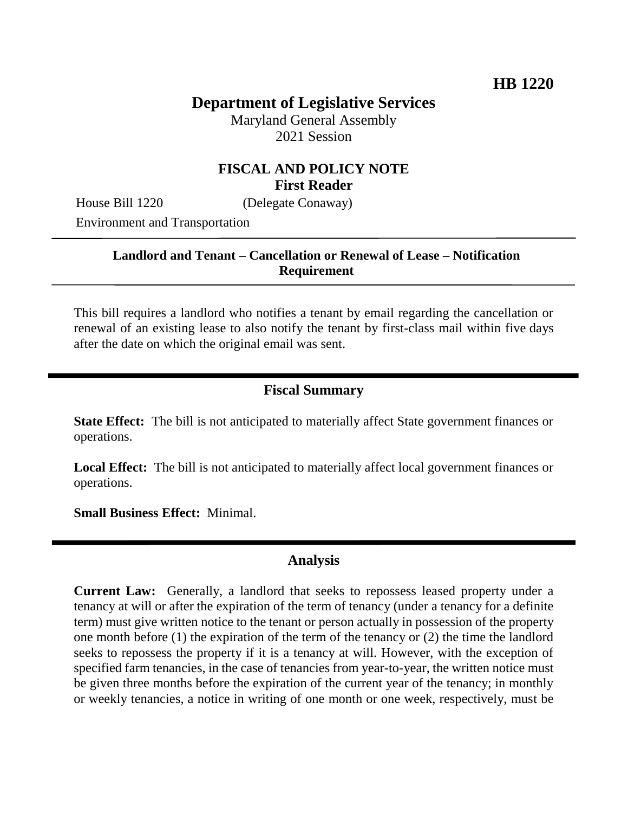# **Department of Legislative Services**

Maryland General Assembly 2021 Session

#### **FISCAL AND POLICY NOTE First Reader**

House Bill 1220 (Delegate Conaway) Environment and Transportation

## **Landlord and Tenant – Cancellation or Renewal of Lease – Notification Requirement**

This bill requires a landlord who notifies a tenant by email regarding the cancellation or renewal of an existing lease to also notify the tenant by first-class mail within five days after the date on which the original email was sent.

#### **Fiscal Summary**

**State Effect:** The bill is not anticipated to materially affect State government finances or operations.

**Local Effect:** The bill is not anticipated to materially affect local government finances or operations.

**Small Business Effect:** Minimal.

### **Analysis**

**Current Law:** Generally, a landlord that seeks to repossess leased property under a tenancy at will or after the expiration of the term of tenancy (under a tenancy for a definite term) must give written notice to the tenant or person actually in possession of the property one month before (1) the expiration of the term of the tenancy or (2) the time the landlord seeks to repossess the property if it is a tenancy at will. However, with the exception of specified farm tenancies, in the case of tenancies from year-to-year, the written notice must be given three months before the expiration of the current year of the tenancy; in monthly or weekly tenancies, a notice in writing of one month or one week, respectively, must be